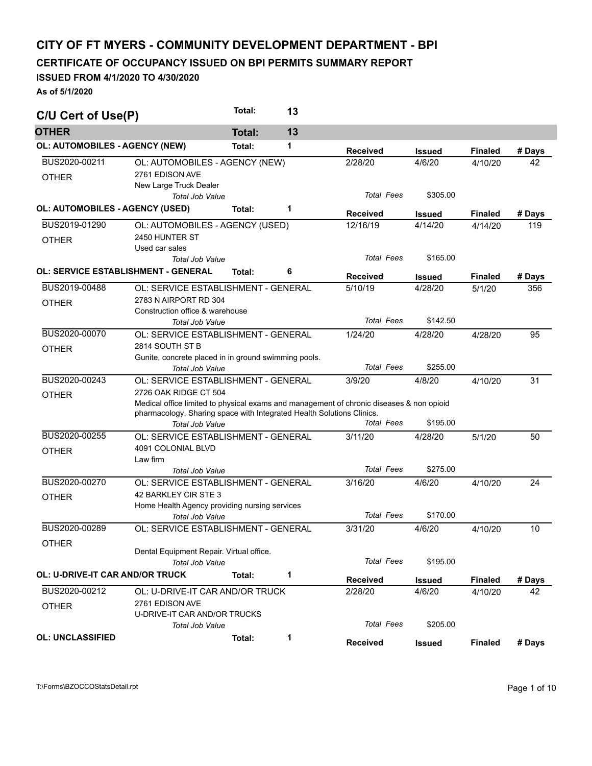## **CITY OF FT MYERS - COMMUNITY DEVELOPMENT DEPARTMENT - BPI**

## **CERTIFICATE OF OCCUPANCY ISSUED ON BPI PERMITS SUMMARY REPORT**

## **ISSUED FROM 4/1/2020 TO 4/30/2020**

**As of 5/1/2020** 

| C/U Cert of Use(P)                         |                                                                                                                                                                   | Total:        | 13 |                   |               |                |        |  |  |
|--------------------------------------------|-------------------------------------------------------------------------------------------------------------------------------------------------------------------|---------------|----|-------------------|---------------|----------------|--------|--|--|
| <b>OTHER</b>                               |                                                                                                                                                                   | <b>Total:</b> | 13 |                   |               |                |        |  |  |
| <b>OL: AUTOMOBILES - AGENCY (NEW)</b>      |                                                                                                                                                                   | Total:        | 1  | <b>Received</b>   | <b>Issued</b> | <b>Finaled</b> | # Days |  |  |
| BUS2020-00211                              | OL: AUTOMOBILES - AGENCY (NEW)                                                                                                                                    |               |    | 2/28/20           | 4/6/20        | 4/10/20        | 42     |  |  |
| <b>OTHER</b>                               | 2761 EDISON AVE                                                                                                                                                   |               |    |                   |               |                |        |  |  |
|                                            | New Large Truck Dealer                                                                                                                                            |               |    |                   |               |                |        |  |  |
|                                            | <b>Total Job Value</b>                                                                                                                                            |               |    | <b>Total Fees</b> | \$305.00      |                |        |  |  |
| OL: AUTOMOBILES - AGENCY (USED)            |                                                                                                                                                                   | Total:        | 1  | <b>Received</b>   | <b>Issued</b> | <b>Finaled</b> | # Days |  |  |
| BUS2019-01290                              | OL: AUTOMOBILES - AGENCY (USED)                                                                                                                                   |               |    | 12/16/19          | 4/14/20       | 4/14/20        | 119    |  |  |
| <b>OTHER</b>                               | 2450 HUNTER ST                                                                                                                                                    |               |    |                   |               |                |        |  |  |
|                                            | Used car sales                                                                                                                                                    |               |    |                   |               |                |        |  |  |
|                                            | Total Job Value                                                                                                                                                   |               |    | <b>Total Fees</b> | \$165.00      |                |        |  |  |
| <b>OL: SERVICE ESTABLISHMENT - GENERAL</b> |                                                                                                                                                                   | Total:        | 6  | <b>Received</b>   | <b>Issued</b> | <b>Finaled</b> | # Days |  |  |
| BUS2019-00488                              | OL: SERVICE ESTABLISHMENT - GENERAL                                                                                                                               |               |    | 5/10/19           | 4/28/20       | 5/1/20         | 356    |  |  |
| <b>OTHER</b>                               | 2783 N AIRPORT RD 304                                                                                                                                             |               |    |                   |               |                |        |  |  |
|                                            | Construction office & warehouse                                                                                                                                   |               |    |                   |               |                |        |  |  |
|                                            | <b>Total Job Value</b>                                                                                                                                            |               |    | <b>Total Fees</b> | \$142.50      |                |        |  |  |
| BUS2020-00070                              | OL: SERVICE ESTABLISHMENT - GENERAL                                                                                                                               |               |    | 1/24/20           | 4/28/20       | 4/28/20        | 95     |  |  |
| <b>OTHER</b>                               | 2814 SOUTH ST B                                                                                                                                                   |               |    |                   |               |                |        |  |  |
|                                            | Gunite, concrete placed in in ground swimming pools.                                                                                                              |               |    |                   |               |                |        |  |  |
|                                            | <b>Total Job Value</b>                                                                                                                                            |               |    | <b>Total Fees</b> | \$255.00      |                |        |  |  |
| BUS2020-00243                              | OL: SERVICE ESTABLISHMENT - GENERAL                                                                                                                               |               |    | 3/9/20            | 4/8/20        | 4/10/20        | 31     |  |  |
| <b>OTHER</b>                               | 2726 OAK RIDGE CT 504                                                                                                                                             |               |    |                   |               |                |        |  |  |
|                                            | Medical office limited to physical exams and management of chronic diseases & non opioid<br>pharmacology. Sharing space with Integrated Health Solutions Clinics. |               |    |                   |               |                |        |  |  |
|                                            |                                                                                                                                                                   |               |    | <b>Total Fees</b> | \$195.00      |                |        |  |  |
|                                            | <b>Total Job Value</b>                                                                                                                                            |               |    |                   |               |                |        |  |  |
| BUS2020-00255                              | OL: SERVICE ESTABLISHMENT - GENERAL                                                                                                                               |               |    | 3/11/20           | 4/28/20       | 5/1/20         | 50     |  |  |
| <b>OTHER</b>                               | 4091 COLONIAL BLVD                                                                                                                                                |               |    |                   |               |                |        |  |  |
|                                            | Law firm<br><b>Total Job Value</b>                                                                                                                                |               |    | <b>Total Fees</b> | \$275.00      |                |        |  |  |
| BUS2020-00270                              | OL: SERVICE ESTABLISHMENT - GENERAL                                                                                                                               |               |    | 3/16/20           | 4/6/20        | 4/10/20        | 24     |  |  |
|                                            | 42 BARKLEY CIR STE 3                                                                                                                                              |               |    |                   |               |                |        |  |  |
| <b>OTHER</b>                               | Home Health Agency providing nursing services                                                                                                                     |               |    |                   |               |                |        |  |  |
|                                            | Total Job Value                                                                                                                                                   |               |    | <b>Total Fees</b> | \$170.00      |                |        |  |  |
| BUS2020-00289                              | OL: SERVICE ESTABLISHMENT - GENERAL                                                                                                                               |               |    | 3/31/20           | 4/6/20        | 4/10/20        | 10     |  |  |
| <b>OTHER</b>                               |                                                                                                                                                                   |               |    |                   |               |                |        |  |  |
|                                            | Dental Equipment Repair. Virtual office.                                                                                                                          |               |    |                   |               |                |        |  |  |
|                                            | Total Job Value                                                                                                                                                   |               |    | <b>Total Fees</b> | \$195.00      |                |        |  |  |
| <b>OL: U-DRIVE-IT CAR AND/OR TRUCK</b>     |                                                                                                                                                                   | Total:        | 1  | <b>Received</b>   | <b>Issued</b> | <b>Finaled</b> | # Days |  |  |
| BUS2020-00212                              | OL: U-DRIVE-IT CAR AND/OR TRUCK                                                                                                                                   |               |    | 2/28/20           | 4/6/20        | 4/10/20        | 42     |  |  |
| <b>OTHER</b>                               | 2761 EDISON AVE                                                                                                                                                   |               |    |                   |               |                |        |  |  |
|                                            | U-DRIVE-IT CAR AND/OR TRUCKS                                                                                                                                      |               |    |                   |               |                |        |  |  |
|                                            | Total Job Value                                                                                                                                                   |               |    | <b>Total Fees</b> | \$205.00      |                |        |  |  |
| <b>OL: UNCLASSIFIED</b>                    |                                                                                                                                                                   | Total:        | 1  | <b>Received</b>   | <b>Issued</b> | <b>Finaled</b> | # Days |  |  |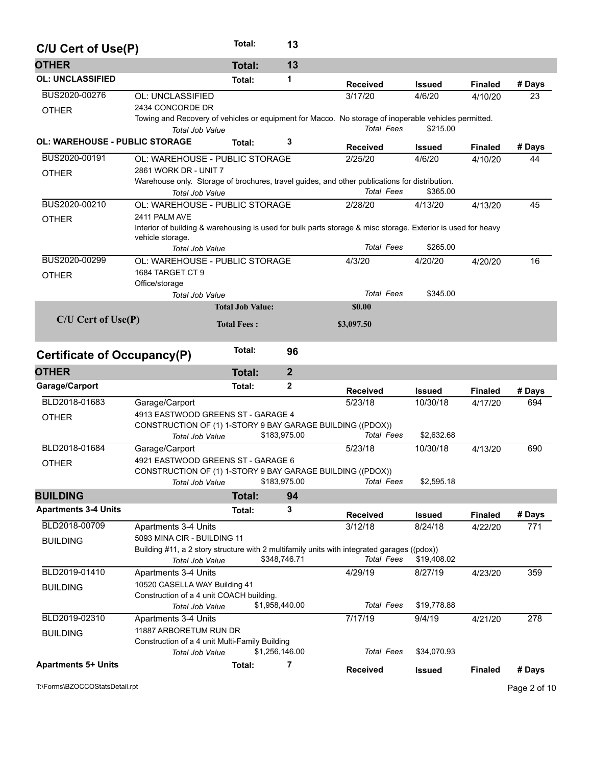| C/U Cert of Use(P)                    |                                                                                                              | Total:                  |                | 13             |                                                                                                                           |               |                |              |  |  |
|---------------------------------------|--------------------------------------------------------------------------------------------------------------|-------------------------|----------------|----------------|---------------------------------------------------------------------------------------------------------------------------|---------------|----------------|--------------|--|--|
| <b>OTHER</b>                          |                                                                                                              | <b>Total:</b>           |                | 13             |                                                                                                                           |               |                |              |  |  |
| <b>OL: UNCLASSIFIED</b>               |                                                                                                              | Total:                  |                | 1              | <b>Received</b>                                                                                                           | <b>Issued</b> | <b>Finaled</b> | # Days       |  |  |
| BUS2020-00276                         | OL: UNCLASSIFIED                                                                                             |                         |                |                | 3/17/20                                                                                                                   | 4/6/20        | 4/10/20        | 23           |  |  |
| <b>OTHER</b>                          | 2434 CONCORDE DR                                                                                             |                         |                |                |                                                                                                                           |               |                |              |  |  |
|                                       |                                                                                                              |                         |                |                | Towing and Recovery of vehicles or equipment for Macco. No storage of inoperable vehicles permitted.<br><b>Total Fees</b> |               |                |              |  |  |
| <b>OL: WAREHOUSE - PUBLIC STORAGE</b> | Total Job Value                                                                                              |                         |                | 3              |                                                                                                                           | \$215.00      |                |              |  |  |
|                                       |                                                                                                              | Total:                  |                |                | <b>Received</b>                                                                                                           | <b>Issued</b> | <b>Finaled</b> | # Days       |  |  |
| BUS2020-00191                         | OL: WAREHOUSE - PUBLIC STORAGE                                                                               |                         |                |                | 2/25/20                                                                                                                   | 4/6/20        | 4/10/20        | 44           |  |  |
| <b>OTHER</b>                          | 2861 WORK DR - UNIT 7                                                                                        |                         |                |                | Warehouse only. Storage of brochures, travel guides, and other publications for distribution.                             |               |                |              |  |  |
|                                       | <b>Total Job Value</b>                                                                                       |                         |                |                | <b>Total Fees</b>                                                                                                         | \$365.00      |                |              |  |  |
| BUS2020-00210                         | OL: WAREHOUSE - PUBLIC STORAGE                                                                               |                         |                |                | 2/28/20                                                                                                                   | 4/13/20       | 4/13/20        | 45           |  |  |
| <b>OTHER</b>                          | 2411 PALM AVE                                                                                                |                         |                |                |                                                                                                                           |               |                |              |  |  |
|                                       | Interior of building & warehousing is used for bulk parts storage & misc storage. Exterior is used for heavy |                         |                |                |                                                                                                                           |               |                |              |  |  |
|                                       | vehicle storage.<br><b>Total Job Value</b>                                                                   |                         |                |                | <b>Total Fees</b>                                                                                                         | \$265.00      |                |              |  |  |
| BUS2020-00299                         | OL: WAREHOUSE - PUBLIC STORAGE                                                                               |                         |                |                | 4/3/20                                                                                                                    | 4/20/20       | 4/20/20        | 16           |  |  |
| <b>OTHER</b>                          | 1684 TARGET CT 9                                                                                             |                         |                |                |                                                                                                                           |               |                |              |  |  |
|                                       | Office/storage                                                                                               |                         |                |                |                                                                                                                           |               |                |              |  |  |
|                                       | <b>Total Job Value</b>                                                                                       |                         |                |                | <b>Total Fees</b>                                                                                                         | \$345.00      |                |              |  |  |
|                                       |                                                                                                              | <b>Total Job Value:</b> |                |                | \$0.00                                                                                                                    |               |                |              |  |  |
| C/U Cert of Use(P)                    |                                                                                                              | <b>Total Fees:</b>      |                |                | \$3,097.50                                                                                                                |               |                |              |  |  |
|                                       |                                                                                                              | Total:                  |                |                |                                                                                                                           |               |                |              |  |  |
| <b>Certificate of Occupancy(P)</b>    |                                                                                                              |                         |                | 96             |                                                                                                                           |               |                |              |  |  |
| <b>OTHER</b>                          |                                                                                                              | <b>Total:</b>           |                | $\overline{2}$ |                                                                                                                           |               |                |              |  |  |
| Garage/Carport                        |                                                                                                              | Total:                  |                | 2              | <b>Received</b>                                                                                                           | <b>Issued</b> | <b>Finaled</b> | # Days       |  |  |
| BLD2018-01683                         | Garage/Carport                                                                                               |                         |                |                | 5/23/18                                                                                                                   | 10/30/18      | 4/17/20        | 694          |  |  |
| <b>OTHER</b>                          | 4913 EASTWOOD GREENS ST - GARAGE 4                                                                           |                         |                |                |                                                                                                                           |               |                |              |  |  |
|                                       | CONSTRUCTION OF (1) 1-STORY 9 BAY GARAGE BUILDING ((PDOX))                                                   |                         | \$183,975.00   |                | <b>Total Fees</b>                                                                                                         | \$2,632.68    |                |              |  |  |
| BLD2018-01684                         | Total Job Value<br>Garage/Carport                                                                            |                         |                |                | 5/23/18                                                                                                                   | 10/30/18      | 4/13/20        | 690          |  |  |
|                                       | 4921 EASTWOOD GREENS ST - GARAGE 6                                                                           |                         |                |                |                                                                                                                           |               |                |              |  |  |
| <b>OTHER</b>                          | CONSTRUCTION OF (1) 1-STORY 9 BAY GARAGE BUILDING ((PDOX))                                                   |                         |                |                |                                                                                                                           |               |                |              |  |  |
|                                       | <b>Total Job Value</b>                                                                                       |                         | \$183,975.00   |                | Total Fees                                                                                                                | \$2,595.18    |                |              |  |  |
| <b>BUILDING</b>                       |                                                                                                              | <b>Total:</b>           |                | 94             |                                                                                                                           |               |                |              |  |  |
| <b>Apartments 3-4 Units</b>           |                                                                                                              | Total:                  |                | 3              | <b>Received</b>                                                                                                           | <b>Issued</b> | <b>Finaled</b> | # Days       |  |  |
| BLD2018-00709                         | Apartments 3-4 Units                                                                                         |                         |                |                | 3/12/18                                                                                                                   | 8/24/18       | 4/22/20        | 771          |  |  |
| <b>BUILDING</b>                       | 5093 MINA CIR - BUILDING 11                                                                                  |                         |                |                |                                                                                                                           |               |                |              |  |  |
|                                       |                                                                                                              |                         |                |                | Building #11, a 2 story structure with 2 multifamily units with integrated garages ((pdox))                               |               |                |              |  |  |
|                                       | Total Job Value                                                                                              |                         | \$348,746.71   |                | <b>Total Fees</b>                                                                                                         | \$19,408.02   |                |              |  |  |
| BLD2019-01410                         | Apartments 3-4 Units                                                                                         |                         |                |                | 4/29/19                                                                                                                   | 8/27/19       | 4/23/20        | 359          |  |  |
| <b>BUILDING</b>                       | 10520 CASELLA WAY Building 41                                                                                |                         |                |                |                                                                                                                           |               |                |              |  |  |
|                                       | Construction of a 4 unit COACH building.<br>Total Job Value                                                  |                         | \$1,958,440.00 |                | <b>Total Fees</b>                                                                                                         | \$19,778.88   |                |              |  |  |
| BLD2019-02310                         | Apartments 3-4 Units                                                                                         |                         |                |                | 7/17/19                                                                                                                   | 9/4/19        | 4/21/20        | 278          |  |  |
| <b>BUILDING</b>                       | 11887 ARBORETUM RUN DR                                                                                       |                         |                |                |                                                                                                                           |               |                |              |  |  |
|                                       | Construction of a 4 unit Multi-Family Building                                                               |                         |                |                |                                                                                                                           |               |                |              |  |  |
|                                       | Total Job Value                                                                                              |                         | \$1,256,146.00 |                | <b>Total Fees</b>                                                                                                         | \$34,070.93   |                |              |  |  |
| <b>Apartments 5+ Units</b>            |                                                                                                              | Total:                  |                | 7              | <b>Received</b>                                                                                                           | <b>Issued</b> | <b>Finaled</b> | # Days       |  |  |
| T:\Forms\BZOCCOStatsDetail.rpt        |                                                                                                              |                         |                |                |                                                                                                                           |               |                | Page 2 of 10 |  |  |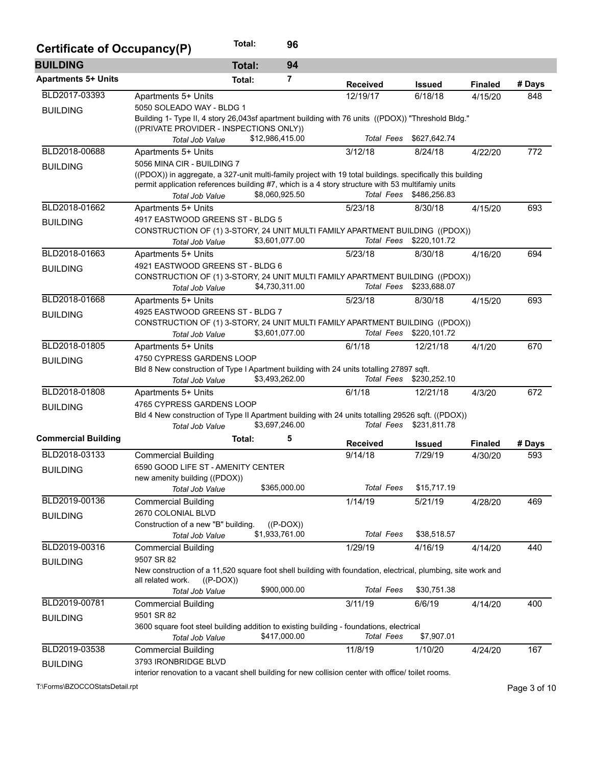| Certificate of Occupancy(P) |                                                                                                                                                                                                                | Total:        | 96              |                   |                         |                |        |
|-----------------------------|----------------------------------------------------------------------------------------------------------------------------------------------------------------------------------------------------------------|---------------|-----------------|-------------------|-------------------------|----------------|--------|
| <b>BUILDING</b>             |                                                                                                                                                                                                                | <b>Total:</b> | 94              |                   |                         |                |        |
| <b>Apartments 5+ Units</b>  |                                                                                                                                                                                                                | Total:        | 7               | <b>Received</b>   | <b>Issued</b>           | <b>Finaled</b> | # Days |
| BLD2017-03393               | Apartments 5+ Units                                                                                                                                                                                            |               |                 | 12/19/17          | 6/18/18                 | 4/15/20        | 848    |
| <b>BUILDING</b>             | 5050 SOLEADO WAY - BLDG 1                                                                                                                                                                                      |               |                 |                   |                         |                |        |
|                             | Building 1- Type II, 4 story 26,043sf apartment building with 76 units ((PDOX)) "Threshold Bldg."                                                                                                              |               |                 |                   |                         |                |        |
|                             | ((PRIVATE PROVIDER - INSPECTIONS ONLY))                                                                                                                                                                        |               |                 |                   |                         |                |        |
|                             | Total Job Value                                                                                                                                                                                                |               | \$12,986,415.00 |                   | Total Fees \$627,642.74 |                |        |
| BLD2018-00688               | Apartments 5+ Units                                                                                                                                                                                            |               |                 | 3/12/18           | 8/24/18                 | 4/22/20        | 772    |
| <b>BUILDING</b>             | 5056 MINA CIR - BUILDING 7                                                                                                                                                                                     |               |                 |                   |                         |                |        |
|                             | ((PDOX)) in aggregate, a 327-unit multi-family project with 19 total buildings. specifically this building<br>permit application references building #7, which is a 4 story structure with 53 multifamiy units |               |                 |                   |                         |                |        |
|                             | Total Job Value                                                                                                                                                                                                |               | \$8,060,925.50  | Total Fees        | \$486,256.83            |                |        |
| BLD2018-01662               | Apartments 5+ Units                                                                                                                                                                                            |               |                 | 5/23/18           | 8/30/18                 | 4/15/20        | 693    |
|                             | 4917 EASTWOOD GREENS ST - BLDG 5                                                                                                                                                                               |               |                 |                   |                         |                |        |
| <b>BUILDING</b>             | CONSTRUCTION OF (1) 3-STORY, 24 UNIT MULTI FAMILY APARTMENT BUILDING ((PDOX))                                                                                                                                  |               |                 |                   |                         |                |        |
|                             | Total Job Value                                                                                                                                                                                                |               | \$3,601,077.00  | Total Fees        | \$220,101.72            |                |        |
| BLD2018-01663               | Apartments 5+ Units                                                                                                                                                                                            |               |                 | 5/23/18           | 8/30/18                 | 4/16/20        | 694    |
| <b>BUILDING</b>             | 4921 EASTWOOD GREENS ST - BLDG 6                                                                                                                                                                               |               |                 |                   |                         |                |        |
|                             | CONSTRUCTION OF (1) 3-STORY, 24 UNIT MULTI FAMILY APARTMENT BUILDING ((PDOX))                                                                                                                                  |               |                 |                   |                         |                |        |
|                             | <b>Total Job Value</b>                                                                                                                                                                                         |               | \$4,730,311.00  | Total Fees        | \$233,688.07            |                |        |
| BLD2018-01668               | Apartments 5+ Units                                                                                                                                                                                            |               |                 | 5/23/18           | 8/30/18                 | 4/15/20        | 693    |
| <b>BUILDING</b>             | 4925 EASTWOOD GREENS ST - BLDG 7                                                                                                                                                                               |               |                 |                   |                         |                |        |
|                             | CONSTRUCTION OF (1) 3-STORY, 24 UNIT MULTI FAMILY APARTMENT BUILDING ((PDOX))                                                                                                                                  |               |                 |                   |                         |                |        |
|                             | Total Job Value                                                                                                                                                                                                |               | \$3,601,077.00  |                   | Total Fees \$220,101.72 |                |        |
| BLD2018-01805               | Apartments 5+ Units                                                                                                                                                                                            |               |                 | 6/1/18            | 12/21/18                | 4/1/20         | 670    |
| <b>BUILDING</b>             | 4750 CYPRESS GARDENS LOOP                                                                                                                                                                                      |               |                 |                   |                         |                |        |
|                             | Bld 8 New construction of Type I Apartment building with 24 units totalling 27897 sqft.                                                                                                                        |               |                 |                   |                         |                |        |
|                             | Total Job Value                                                                                                                                                                                                |               | \$3,493,262.00  |                   | Total Fees \$230,252.10 |                |        |
| BLD2018-01808               | Apartments 5+ Units                                                                                                                                                                                            |               |                 | 6/1/18            | 12/21/18                | 4/3/20         | 672    |
| <b>BUILDING</b>             | 4765 CYPRESS GARDENS LOOP                                                                                                                                                                                      |               |                 |                   |                         |                |        |
|                             | Bld 4 New construction of Type II Apartment building with 24 units totalling 29526 sqft. ((PDOX))                                                                                                              |               |                 |                   |                         |                |        |
|                             | <b>Total Job Value</b>                                                                                                                                                                                         |               | \$3,697,246.00  | <b>Total Fees</b> | \$231,811.78            |                |        |
| <b>Commercial Building</b>  |                                                                                                                                                                                                                | Total:        | 5               | <b>Received</b>   | <b>Issued</b>           | <b>Finaled</b> | # Days |
| BLD2018-03133               | <b>Commercial Building</b>                                                                                                                                                                                     |               |                 | 9/14/18           | 7/29/19                 | 4/30/20        | 593    |
|                             | 6590 GOOD LIFE ST - AMENITY CENTER                                                                                                                                                                             |               |                 |                   |                         |                |        |
| <b>BUILDING</b>             | new amenity building ((PDOX))                                                                                                                                                                                  |               |                 |                   |                         |                |        |
|                             | Total Job Value                                                                                                                                                                                                |               | \$365,000.00    | <b>Total Fees</b> | \$15,717.19             |                |        |
| BLD2019-00136               | <b>Commercial Building</b>                                                                                                                                                                                     |               |                 | 1/14/19           | 5/21/19                 | 4/28/20        | 469    |
| <b>BUILDING</b>             | 2670 COLONIAL BLVD                                                                                                                                                                                             |               |                 |                   |                         |                |        |
|                             | Construction of a new "B" building.                                                                                                                                                                            |               | $((P-DOX))$     |                   |                         |                |        |
|                             | <b>Total Job Value</b>                                                                                                                                                                                         |               | \$1,933,761.00  | <b>Total Fees</b> | \$38,518.57             |                |        |
| BLD2019-00316               | <b>Commercial Building</b>                                                                                                                                                                                     |               |                 | 1/29/19           | 4/16/19                 | 4/14/20        | 440    |
| <b>BUILDING</b>             | 9507 SR 82                                                                                                                                                                                                     |               |                 |                   |                         |                |        |
|                             | New construction of a 11,520 square foot shell building with foundation, electrical, plumbing, site work and                                                                                                   |               |                 |                   |                         |                |        |
|                             | all related work.<br>$((P-DOX))$                                                                                                                                                                               |               |                 |                   |                         |                |        |
|                             | Total Job Value                                                                                                                                                                                                |               | \$900,000.00    | <b>Total Fees</b> | \$30,751.38             |                |        |
| BLD2019-00781               | <b>Commercial Building</b>                                                                                                                                                                                     |               |                 | 3/11/19           | 6/6/19                  | 4/14/20        | 400    |
| <b>BUILDING</b>             | 9501 SR 82                                                                                                                                                                                                     |               |                 |                   |                         |                |        |
|                             | 3600 square foot steel building addition to existing building - foundations, electrical                                                                                                                        |               |                 |                   |                         |                |        |
|                             | Total Job Value                                                                                                                                                                                                |               | \$417,000.00    | <b>Total Fees</b> | \$7,907.01              |                |        |
| BLD2019-03538               | <b>Commercial Building</b>                                                                                                                                                                                     |               |                 | 11/8/19           | 1/10/20                 | 4/24/20        | 167    |
| <b>BUILDING</b>             | 3793 IRONBRIDGE BLVD                                                                                                                                                                                           |               |                 |                   |                         |                |        |
|                             | interior renovation to a vacant shell building for new collision center with office/ toilet rooms.                                                                                                             |               |                 |                   |                         |                |        |

T:\Forms\BZOCCOStatsDetail.rpt Page 3 of 10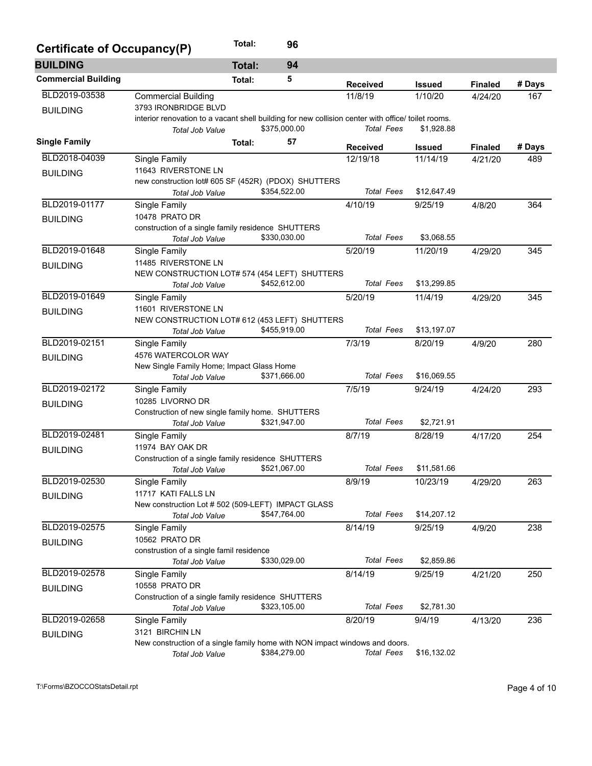| Certificate of Occupancy(P) |                                                                                                    | Total:        | 96           |                   |               |                |        |  |  |
|-----------------------------|----------------------------------------------------------------------------------------------------|---------------|--------------|-------------------|---------------|----------------|--------|--|--|
| <b>BUILDING</b>             |                                                                                                    | <b>Total:</b> | 94           |                   |               |                |        |  |  |
| <b>Commercial Building</b>  |                                                                                                    | Total:        | 5            | <b>Received</b>   | Issued        | <b>Finaled</b> | # Days |  |  |
| BLD2019-03538               | <b>Commercial Building</b>                                                                         |               |              | 11/8/19           | 1/10/20       | 4/24/20        | 167    |  |  |
| <b>BUILDING</b>             | 3793 IRONBRIDGE BLVD                                                                               |               |              |                   |               |                |        |  |  |
|                             | interior renovation to a vacant shell building for new collision center with office/ toilet rooms. |               |              |                   |               |                |        |  |  |
|                             | <b>Total Job Value</b>                                                                             |               | \$375,000.00 | <b>Total Fees</b> | \$1,928.88    |                |        |  |  |
| <b>Single Family</b>        |                                                                                                    | Total:        | 57           | <b>Received</b>   | <b>Issued</b> | <b>Finaled</b> | # Days |  |  |
| BLD2018-04039               | Single Family                                                                                      |               |              | 12/19/18          | 11/14/19      | 4/21/20        | 489    |  |  |
| <b>BUILDING</b>             | 11643 RIVERSTONE LN                                                                                |               |              |                   |               |                |        |  |  |
|                             | new construction lot# 605 SF (452R) (PDOX) SHUTTERS                                                |               |              |                   |               |                |        |  |  |
|                             | <b>Total Job Value</b>                                                                             |               | \$354,522.00 | <b>Total Fees</b> | \$12,647.49   |                |        |  |  |
| BLD2019-01177               | Single Family                                                                                      |               |              | 4/10/19           | 9/25/19       | 4/8/20         | 364    |  |  |
| <b>BUILDING</b>             | 10478 PRATO DR                                                                                     |               |              |                   |               |                |        |  |  |
|                             | construction of a single family residence SHUTTERS                                                 |               |              |                   |               |                |        |  |  |
|                             | <b>Total Job Value</b>                                                                             |               | \$330,030.00 | <b>Total Fees</b> | \$3,068.55    |                |        |  |  |
| BLD2019-01648               | Single Family                                                                                      |               |              | 5/20/19           | 11/20/19      | 4/29/20        | 345    |  |  |
| <b>BUILDING</b>             | 11485 RIVERSTONE LN                                                                                |               |              |                   |               |                |        |  |  |
|                             | NEW CONSTRUCTION LOT# 574 (454 LEFT) SHUTTERS                                                      |               |              |                   |               |                |        |  |  |
|                             | <b>Total Job Value</b>                                                                             |               | \$452,612.00 | <b>Total Fees</b> | \$13,299.85   |                |        |  |  |
| BLD2019-01649               | Single Family                                                                                      |               |              | 5/20/19           | 11/4/19       | 4/29/20        | 345    |  |  |
| <b>BUILDING</b>             | 11601 RIVERSTONE LN                                                                                |               |              |                   |               |                |        |  |  |
|                             | NEW CONSTRUCTION LOT# 612 (453 LEFT) SHUTTERS                                                      |               |              | <b>Total Fees</b> |               |                |        |  |  |
|                             | <b>Total Job Value</b>                                                                             |               | \$455,919.00 |                   | \$13,197.07   |                |        |  |  |
| BLD2019-02151               | Single Family                                                                                      |               |              | 7/3/19            | 8/20/19       | 4/9/20         | 280    |  |  |
| <b>BUILDING</b>             | 4576 WATERCOLOR WAY<br>New Single Family Home; Impact Glass Home                                   |               |              |                   |               |                |        |  |  |
|                             | Total Job Value                                                                                    |               | \$371,666.00 | <b>Total Fees</b> | \$16,069.55   |                |        |  |  |
| BLD2019-02172               |                                                                                                    |               |              | 7/5/19            | 9/24/19       |                |        |  |  |
|                             | Single Family                                                                                      |               |              |                   |               | 4/24/20        | 293    |  |  |
| <b>BUILDING</b>             | 10285 LIVORNO DR<br>Construction of new single family home. SHUTTERS                               |               |              |                   |               |                |        |  |  |
|                             | Total Job Value                                                                                    |               | \$321,947.00 | <b>Total Fees</b> | \$2,721.91    |                |        |  |  |
| BLD2019-02481               | Single Family                                                                                      |               |              | 8/7/19            | 8/28/19       | 4/17/20        | 254    |  |  |
|                             | 11974 BAY OAK DR                                                                                   |               |              |                   |               |                |        |  |  |
| <b>BUILDING</b>             | Construction of a single family residence SHUTTERS                                                 |               |              |                   |               |                |        |  |  |
|                             | Total Job Value                                                                                    |               | \$521,067.00 | <b>Total Fees</b> | \$11,581.66   |                |        |  |  |
| BLD2019-02530               | Single Family                                                                                      |               |              | 8/9/19            | 10/23/19      | 4/29/20        | 263    |  |  |
| <b>BUILDING</b>             | 11717 KATI FALLS LN                                                                                |               |              |                   |               |                |        |  |  |
|                             | New construction Lot # 502 (509-LEFT) IMPACT GLASS                                                 |               |              |                   |               |                |        |  |  |
|                             | Total Job Value                                                                                    |               | \$547,764.00 | <b>Total Fees</b> | \$14,207.12   |                |        |  |  |
| BLD2019-02575               | Single Family                                                                                      |               |              | 8/14/19           | 9/25/19       | 4/9/20         | 238    |  |  |
| <b>BUILDING</b>             | 10562 PRATO DR                                                                                     |               |              |                   |               |                |        |  |  |
|                             | construstion of a single famil residence                                                           |               |              |                   |               |                |        |  |  |
|                             | <b>Total Job Value</b>                                                                             |               | \$330,029.00 | <b>Total Fees</b> | \$2,859.86    |                |        |  |  |
| BLD2019-02578               | Single Family                                                                                      |               |              | 8/14/19           | 9/25/19       | 4/21/20        | 250    |  |  |
| <b>BUILDING</b>             | 10558 PRATO DR                                                                                     |               |              |                   |               |                |        |  |  |
|                             | Construction of a single family residence SHUTTERS                                                 |               |              |                   |               |                |        |  |  |
|                             | Total Job Value                                                                                    |               | \$323,105.00 | <b>Total Fees</b> | \$2,781.30    |                |        |  |  |
| BLD2019-02658               | Single Family                                                                                      |               |              | 8/20/19           | 9/4/19        | 4/13/20        | 236    |  |  |
| <b>BUILDING</b>             | 3121 BIRCHIN LN                                                                                    |               |              |                   |               |                |        |  |  |
|                             | New construction of a single family home with NON impact windows and doors.                        |               |              |                   |               |                |        |  |  |
|                             | Total Job Value                                                                                    |               | \$384,279.00 | <b>Total Fees</b> | \$16,132.02   |                |        |  |  |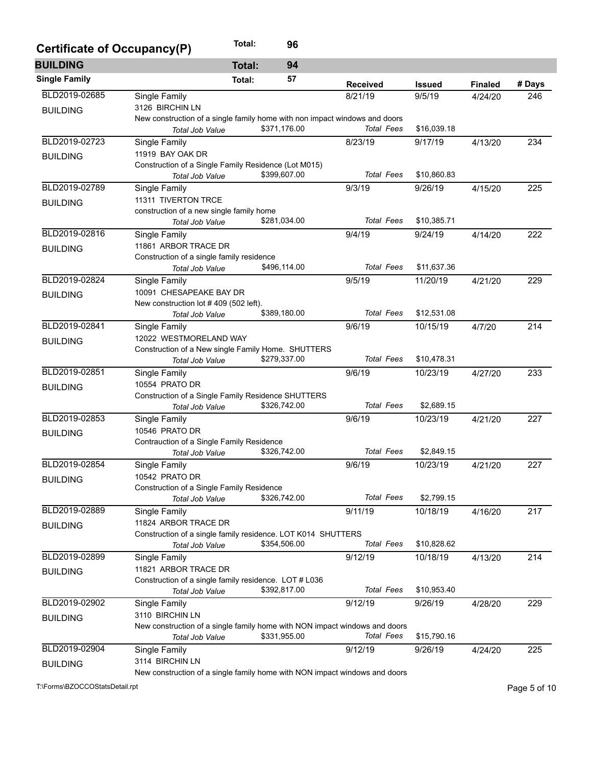| Certificate of Occupancy(P) | Total:                                                                                        | 96           |                   |               |                |        |
|-----------------------------|-----------------------------------------------------------------------------------------------|--------------|-------------------|---------------|----------------|--------|
| <b>BUILDING</b>             | <b>Total:</b>                                                                                 | 94           |                   |               |                |        |
| <b>Single Family</b>        | Total:                                                                                        | 57           | <b>Received</b>   | <b>Issued</b> | <b>Finaled</b> | # Days |
| BLD2019-02685               | Single Family                                                                                 |              | 8/21/19           | 9/5/19        | 4/24/20        | 246    |
| <b>BUILDING</b>             | 3126 BIRCHIN LN                                                                               |              |                   |               |                |        |
|                             | New construction of a single family home with non impact windows and doors                    |              |                   |               |                |        |
|                             | Total Job Value                                                                               | \$371,176.00 | <b>Total Fees</b> | \$16,039.18   |                |        |
| BLD2019-02723               | Single Family                                                                                 |              | 8/23/19           | 9/17/19       | 4/13/20        | 234    |
| <b>BUILDING</b>             | 11919 BAY OAK DR                                                                              |              |                   |               |                |        |
|                             | Construction of a Single Family Residence (Lot M015)                                          |              |                   |               |                |        |
|                             | Total Job Value                                                                               | \$399,607.00 | <b>Total Fees</b> | \$10,860.83   |                |        |
| BLD2019-02789               | Single Family                                                                                 |              | 9/3/19            | 9/26/19       | 4/15/20        | 225    |
| <b>BUILDING</b>             | 11311 TIVERTON TRCE                                                                           |              |                   |               |                |        |
|                             | construction of a new single family home                                                      |              |                   |               |                |        |
|                             | Total Job Value                                                                               | \$281,034.00 | <b>Total Fees</b> | \$10,385.71   |                |        |
| BLD2019-02816               | <b>Single Family</b>                                                                          |              | 9/4/19            | 9/24/19       | 4/14/20        | 222    |
| <b>BUILDING</b>             | 11861 ARBOR TRACE DR                                                                          |              |                   |               |                |        |
|                             | Construction of a single family residence<br><b>Total Job Value</b>                           | \$496,114.00 | <b>Total Fees</b> | \$11,637.36   |                |        |
| BLD2019-02824               |                                                                                               |              |                   |               | 4/21/20        |        |
|                             | Single Family<br>10091 CHESAPEAKE BAY DR                                                      |              | 9/5/19            | 11/20/19      |                | 229    |
| <b>BUILDING</b>             | New construction lot #409 (502 left).                                                         |              |                   |               |                |        |
|                             | Total Job Value                                                                               | \$389,180.00 | <b>Total Fees</b> | \$12,531.08   |                |        |
| BLD2019-02841               | Single Family                                                                                 |              | 9/6/19            | 10/15/19      | 4/7/20         | 214    |
|                             | 12022 WESTMORELAND WAY                                                                        |              |                   |               |                |        |
| <b>BUILDING</b>             | Construction of a New single Family Home. SHUTTERS                                            |              |                   |               |                |        |
|                             | Total Job Value                                                                               | \$279,337.00 | <b>Total Fees</b> | \$10,478.31   |                |        |
| BLD2019-02851               | Single Family                                                                                 |              | 9/6/19            | 10/23/19      | 4/27/20        | 233    |
| <b>BUILDING</b>             | 10554 PRATO DR                                                                                |              |                   |               |                |        |
|                             | Construction of a Single Family Residence SHUTTERS                                            |              |                   |               |                |        |
|                             | Total Job Value                                                                               | \$326,742.00 | <b>Total Fees</b> | \$2,689.15    |                |        |
| BLD2019-02853               | Single Family                                                                                 |              | 9/6/19            | 10/23/19      | 4/21/20        | 227    |
| <b>BUILDING</b>             | 10546 PRATO DR                                                                                |              |                   |               |                |        |
|                             | Contrauction of a Single Family Residence                                                     |              |                   |               |                |        |
|                             | Total Job Value                                                                               | \$326,742.00 | <b>Total Fees</b> | \$2,849.15    |                |        |
| BLD2019-02854               | Single Family                                                                                 |              | 9/6/19            | 10/23/19      | 4/21/20        | 227    |
| <b>BUILDING</b>             | 10542 PRATO DR                                                                                |              |                   |               |                |        |
|                             | Construction of a Single Family Residence                                                     |              |                   |               |                |        |
|                             | Total Job Value                                                                               | \$326,742.00 | <b>Total Fees</b> | \$2,799.15    |                |        |
| BLD2019-02889               | Single Family                                                                                 |              | 9/11/19           | 10/18/19      | 4/16/20        | 217    |
| <b>BUILDING</b>             | 11824 ARBOR TRACE DR                                                                          |              |                   |               |                |        |
|                             | Construction of a single family residence. LOT K014 SHUTTERS                                  |              |                   |               |                |        |
|                             | Total Job Value                                                                               | \$354,506.00 | <b>Total Fees</b> | \$10,828.62   |                |        |
| BLD2019-02899               | Single Family                                                                                 |              | 9/12/19           | 10/18/19      | 4/13/20        | 214    |
| <b>BUILDING</b>             | 11821 ARBOR TRACE DR                                                                          |              |                   |               |                |        |
|                             | Construction of a single family residence. LOT # L036                                         | \$392,817.00 | <b>Total Fees</b> | \$10,953.40   |                |        |
|                             | Total Job Value                                                                               |              |                   |               |                |        |
| BLD2019-02902               | Single Family                                                                                 |              | 9/12/19           | 9/26/19       | 4/28/20        | 229    |
| <b>BUILDING</b>             | 3110 BIRCHIN LN                                                                               |              |                   |               |                |        |
|                             | New construction of a single family home with NON impact windows and doors<br>Total Job Value | \$331,955.00 | Total Fees        | \$15,790.16   |                |        |
| BLD2019-02904               |                                                                                               |              | 9/12/19           |               |                | 225    |
|                             | Single Family<br>3114 BIRCHIN LN                                                              |              |                   | 9/26/19       | 4/24/20        |        |
| <b>BUILDING</b>             | New construction of a single family home with NON impact windows and doors                    |              |                   |               |                |        |

New construction of a single family home with NON impact windows and doors

T:\Forms\BZOCCOStatsDetail.rpt Page 5 of 10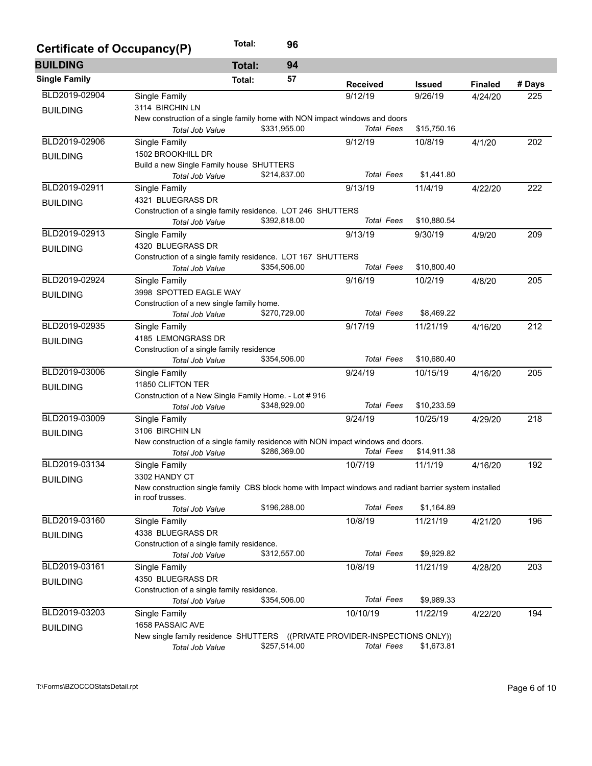| Certificate of Occupancy(P) |                                                                                                        | Total:        | 96           |                   |               |                |        |  |  |  |
|-----------------------------|--------------------------------------------------------------------------------------------------------|---------------|--------------|-------------------|---------------|----------------|--------|--|--|--|
| <b>BUILDING</b>             |                                                                                                        | <b>Total:</b> | 94           |                   |               |                |        |  |  |  |
| <b>Single Family</b>        |                                                                                                        | Total:        | 57           | <b>Received</b>   | <b>Issued</b> | <b>Finaled</b> | # Days |  |  |  |
| BLD2019-02904               | Single Family                                                                                          |               |              | 9/12/19           | 9/26/19       | 4/24/20        | 225    |  |  |  |
| <b>BUILDING</b>             | 3114 BIRCHIN LN                                                                                        |               |              |                   |               |                |        |  |  |  |
|                             | New construction of a single family home with NON impact windows and doors<br>Total Job Value          |               | \$331,955.00 | <b>Total Fees</b> | \$15,750.16   |                |        |  |  |  |
| BLD2019-02906               | Single Family                                                                                          |               |              | 9/12/19           | 10/8/19       | 4/1/20         | 202    |  |  |  |
| <b>BUILDING</b>             | 1502 BROOKHILL DR                                                                                      |               |              |                   |               |                |        |  |  |  |
|                             | Build a new Single Family house SHUTTERS                                                               |               |              |                   |               |                |        |  |  |  |
|                             | Total Job Value                                                                                        |               | \$214,837.00 | <b>Total Fees</b> | \$1,441.80    |                |        |  |  |  |
| BLD2019-02911               | Single Family                                                                                          |               |              | 9/13/19           | 11/4/19       | 4/22/20        | 222    |  |  |  |
| <b>BUILDING</b>             | 4321 BLUEGRASS DR                                                                                      |               |              |                   |               |                |        |  |  |  |
|                             | Construction of a single family residence. LOT 246 SHUTTERS                                            |               |              | <b>Total Fees</b> |               |                |        |  |  |  |
|                             | Total Job Value                                                                                        |               | \$392,818.00 |                   | \$10,880.54   |                |        |  |  |  |
| BLD2019-02913               | Single Family                                                                                          |               |              | 9/13/19           | 9/30/19       | 4/9/20         | 209    |  |  |  |
| <b>BUILDING</b>             | 4320 BLUEGRASS DR                                                                                      |               |              |                   |               |                |        |  |  |  |
|                             | Construction of a single family residence. LOT 167 SHUTTERS<br>Total Job Value                         |               | \$354,506.00 | <b>Total Fees</b> | \$10,800.40   |                |        |  |  |  |
| BLD2019-02924               | Single Family                                                                                          |               |              | 9/16/19           | 10/2/19       |                | 205    |  |  |  |
|                             | 3998 SPOTTED EAGLE WAY                                                                                 |               |              |                   |               | 4/8/20         |        |  |  |  |
| <b>BUILDING</b>             | Construction of a new single family home.                                                              |               |              |                   |               |                |        |  |  |  |
|                             | Total Job Value                                                                                        |               | \$270,729.00 | <b>Total Fees</b> | \$8,469.22    |                |        |  |  |  |
| BLD2019-02935               | Single Family                                                                                          |               |              | 9/17/19           | 11/21/19      | 4/16/20        | 212    |  |  |  |
|                             | 4185 LEMONGRASS DR                                                                                     |               |              |                   |               |                |        |  |  |  |
| <b>BUILDING</b>             | Construction of a single family residence                                                              |               |              |                   |               |                |        |  |  |  |
|                             | Total Job Value                                                                                        |               | \$354,506.00 | <b>Total Fees</b> | \$10,680.40   |                |        |  |  |  |
| BLD2019-03006               | Single Family                                                                                          |               |              | 9/24/19           | 10/15/19      | 4/16/20        | 205    |  |  |  |
| <b>BUILDING</b>             | 11850 CLIFTON TER                                                                                      |               |              |                   |               |                |        |  |  |  |
|                             | Construction of a New Single Family Home. - Lot # 916                                                  |               |              |                   |               |                |        |  |  |  |
|                             | Total Job Value                                                                                        |               | \$348,929.00 | <b>Total Fees</b> | \$10,233.59   |                |        |  |  |  |
| BLD2019-03009               | Single Family                                                                                          |               |              | 9/24/19           | 10/25/19      | 4/29/20        | 218    |  |  |  |
| <b>BUILDING</b>             | 3106 BIRCHIN LN                                                                                        |               |              |                   |               |                |        |  |  |  |
|                             | New construction of a single family residence with NON impact windows and doors.                       |               |              |                   |               |                |        |  |  |  |
|                             | Total Job Value                                                                                        |               | \$286,369.00 | <b>Total Fees</b> | \$14,911.38   |                |        |  |  |  |
| BLD2019-03134               | Single Family                                                                                          |               |              | 10/7/19           | 11/1/19       | 4/16/20        | 192    |  |  |  |
| <b>BUILDING</b>             | 3302 HANDY CT                                                                                          |               |              |                   |               |                |        |  |  |  |
|                             | New construction single family CBS block home with Impact windows and radiant barrier system installed |               |              |                   |               |                |        |  |  |  |
|                             | in roof trusses.                                                                                       |               | \$196,288.00 | <b>Total Fees</b> | \$1,164.89    |                |        |  |  |  |
| BLD2019-03160               | <b>Total Job Value</b>                                                                                 |               |              |                   |               |                |        |  |  |  |
|                             | Single Family<br>4338 BLUEGRASS DR                                                                     |               |              | 10/8/19           | 11/21/19      | 4/21/20        | 196    |  |  |  |
| <b>BUILDING</b>             | Construction of a single family residence.                                                             |               |              |                   |               |                |        |  |  |  |
|                             | Total Job Value                                                                                        |               | \$312,557.00 | <b>Total Fees</b> | \$9,929.82    |                |        |  |  |  |
| BLD2019-03161               | Single Family                                                                                          |               |              | 10/8/19           | 11/21/19      | 4/28/20        | 203    |  |  |  |
|                             | 4350 BLUEGRASS DR                                                                                      |               |              |                   |               |                |        |  |  |  |
| <b>BUILDING</b>             | Construction of a single family residence.                                                             |               |              |                   |               |                |        |  |  |  |
|                             | Total Job Value                                                                                        |               | \$354,506.00 | <b>Total Fees</b> | \$9,989.33    |                |        |  |  |  |
| BLD2019-03203               | Single Family                                                                                          |               |              | 10/10/19          | 11/22/19      | 4/22/20        | 194    |  |  |  |
|                             | 1658 PASSAIC AVE                                                                                       |               |              |                   |               |                |        |  |  |  |
| <b>BUILDING</b>             | New single family residence SHUTTERS ((PRIVATE PROVIDER-INSPECTIONS ONLY))                             |               |              |                   |               |                |        |  |  |  |
|                             | Total Job Value                                                                                        |               | \$257,514.00 | <b>Total Fees</b> | \$1,673.81    |                |        |  |  |  |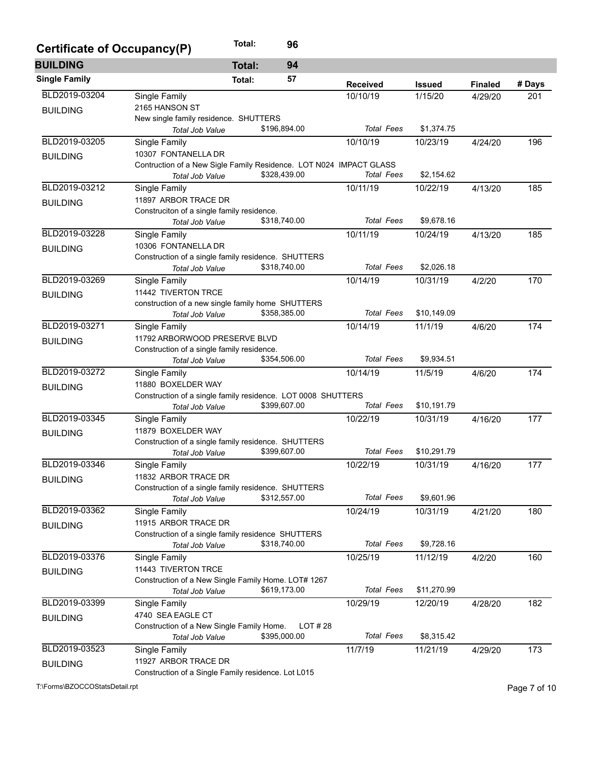| Certificate of Occupancy(P) | Total:                                                                                | 96           |                   |               |                |        |
|-----------------------------|---------------------------------------------------------------------------------------|--------------|-------------------|---------------|----------------|--------|
| <b>BUILDING</b>             | <b>Total:</b>                                                                         | 94           |                   |               |                |        |
| <b>Single Family</b>        | Total:                                                                                | 57           | <b>Received</b>   | <b>Issued</b> | <b>Finaled</b> | # Days |
| BLD2019-03204               | Single Family                                                                         |              | 10/10/19          | 1/15/20       | 4/29/20        | 201    |
| <b>BUILDING</b>             | 2165 HANSON ST                                                                        |              |                   |               |                |        |
|                             | New single family residence. SHUTTERS                                                 |              |                   |               |                |        |
|                             | <b>Total Job Value</b>                                                                | \$196,894.00 | <b>Total Fees</b> | \$1,374.75    |                |        |
| BLD2019-03205               | Single Family                                                                         |              | 10/10/19          | 10/23/19      | 4/24/20        | 196    |
| <b>BUILDING</b>             | 10307 FONTANELLA DR                                                                   |              |                   |               |                |        |
|                             | Contruction of a New Sigle Family Residence. LOT N024 IMPACT GLASS<br>Total Job Value | \$328,439.00 | Total Fees        | \$2,154.62    |                |        |
| BLD2019-03212               | Single Family                                                                         |              | 10/11/19          | 10/22/19      | 4/13/20        | 185    |
|                             | 11897 ARBOR TRACE DR                                                                  |              |                   |               |                |        |
| <b>BUILDING</b>             | Construciton of a single family residence.                                            |              |                   |               |                |        |
|                             | Total Job Value                                                                       | \$318,740.00 | <b>Total Fees</b> | \$9,678.16    |                |        |
| BLD2019-03228               | Single Family                                                                         |              | 10/11/19          | 10/24/19      | 4/13/20        | 185    |
|                             | 10306 FONTANELLA DR                                                                   |              |                   |               |                |        |
| <b>BUILDING</b>             | Construction of a single family residence. SHUTTERS                                   |              |                   |               |                |        |
|                             | Total Job Value                                                                       | \$318,740.00 | <b>Total Fees</b> | \$2,026.18    |                |        |
| BLD2019-03269               | Single Family                                                                         |              | 10/14/19          | 10/31/19      | 4/2/20         | 170    |
| <b>BUILDING</b>             | 11442 TIVERTON TRCE                                                                   |              |                   |               |                |        |
|                             | construction of a new single family home SHUTTERS                                     |              |                   |               |                |        |
|                             | <b>Total Job Value</b>                                                                | \$358,385.00 | <b>Total Fees</b> | \$10,149.09   |                |        |
| BLD2019-03271               | Single Family                                                                         |              | 10/14/19          | 11/1/19       | 4/6/20         | 174    |
| <b>BUILDING</b>             | 11792 ARBORWOOD PRESERVE BLVD                                                         |              |                   |               |                |        |
|                             | Construction of a single family residence.                                            |              |                   |               |                |        |
|                             | Total Job Value                                                                       | \$354,506.00 | <b>Total Fees</b> | \$9,934.51    |                |        |
| BLD2019-03272               | Single Family                                                                         |              | 10/14/19          | 11/5/19       | 4/6/20         | 174    |
| <b>BUILDING</b>             | 11880 BOXELDER WAY                                                                    |              |                   |               |                |        |
|                             | Construction of a single family residence. LOT 0008 SHUTTERS                          |              |                   |               |                |        |
|                             | Total Job Value                                                                       | \$399,607.00 | <b>Total Fees</b> | \$10,191.79   |                |        |
| BLD2019-03345               | Single Family                                                                         |              | 10/22/19          | 10/31/19      | 4/16/20        | 177    |
| <b>BUILDING</b>             | 11879 BOXELDER WAY                                                                    |              |                   |               |                |        |
|                             | Construction of a single family residence. SHUTTERS                                   |              |                   |               |                |        |
|                             | Total Job Value                                                                       | \$399,607.00 | <b>Total Fees</b> | \$10,291.79   |                |        |
| BLD2019-03346               | Single Family                                                                         |              | 10/22/19          | 10/31/19      | 4/16/20        | 177    |
| <b>BUILDING</b>             | 11832 ARBOR TRACE DR                                                                  |              |                   |               |                |        |
|                             | Construction of a single family residence. SHUTTERS                                   |              | <b>Total Fees</b> |               |                |        |
|                             | Total Job Value                                                                       | \$312,557.00 |                   | \$9,601.96    |                |        |
| BLD2019-03362               | Single Family                                                                         |              | 10/24/19          | 10/31/19      | 4/21/20        | 180    |
| <b>BUILDING</b>             | 11915 ARBOR TRACE DR                                                                  |              |                   |               |                |        |
|                             | Construction of a single family residence SHUTTERS                                    | \$318,740.00 | <b>Total Fees</b> | \$9,728.16    |                |        |
| BLD2019-03376               | Total Job Value                                                                       |              |                   |               |                | 160    |
|                             | Single Family                                                                         |              | 10/25/19          | 11/12/19      | 4/2/20         |        |
| <b>BUILDING</b>             | 11443 TIVERTON TRCE                                                                   |              |                   |               |                |        |
|                             | Construction of a New Single Family Home. LOT# 1267<br>Total Job Value                | \$619,173.00 | <b>Total Fees</b> | \$11,270.99   |                |        |
| BLD2019-03399               | Single Family                                                                         |              | 10/29/19          | 12/20/19      | 4/28/20        | 182    |
|                             | 4740 SEA EAGLE CT                                                                     |              |                   |               |                |        |
| <b>BUILDING</b>             | Construction of a New Single Family Home.                                             | LOT#28       |                   |               |                |        |
|                             | Total Job Value                                                                       | \$395,000.00 | <b>Total Fees</b> | \$8,315.42    |                |        |
| BLD2019-03523               | Single Family                                                                         |              | 11/7/19           | 11/21/19      | 4/29/20        | 173    |
|                             | 11927 ARBOR TRACE DR                                                                  |              |                   |               |                |        |
| <b>BUILDING</b>             | Construction of a Single Family residence. Lot L015                                   |              |                   |               |                |        |
|                             |                                                                                       |              |                   |               |                |        |

T:\Forms\BZOCCOStatsDetail.rpt Page 7 of 10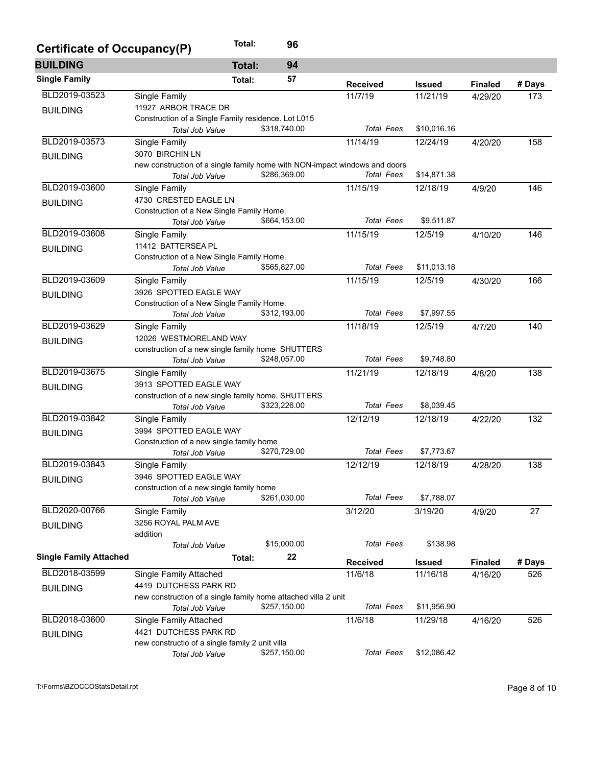| Certificate of Occupancy(P)   |                                                                              | Total:        | 96           |                   |               |                |        |  |  |
|-------------------------------|------------------------------------------------------------------------------|---------------|--------------|-------------------|---------------|----------------|--------|--|--|
| <b>BUILDING</b>               |                                                                              | <b>Total:</b> | 94           |                   |               |                |        |  |  |
| <b>Single Family</b>          |                                                                              | Total:        | 57           | <b>Received</b>   | <b>Issued</b> | <b>Finaled</b> | # Days |  |  |
| BLD2019-03523                 | Single Family                                                                |               |              | 11/7/19           | 11/21/19      | 4/29/20        | 173    |  |  |
| <b>BUILDING</b>               | 11927 ARBOR TRACE DR                                                         |               |              |                   |               |                |        |  |  |
|                               | Construction of a Single Family residence. Lot L015                          |               |              |                   |               |                |        |  |  |
|                               | Total Job Value                                                              |               | \$318,740.00 | <b>Total Fees</b> | \$10,016.16   |                |        |  |  |
| BLD2019-03573                 | Single Family                                                                |               |              | 11/14/19          | 12/24/19      | 4/20/20        | 158    |  |  |
| <b>BUILDING</b>               | 3070 BIRCHIN LN                                                              |               |              |                   |               |                |        |  |  |
|                               | new construction of a single family home with NON-impact windows and doors   |               |              |                   |               |                |        |  |  |
|                               | Total Job Value                                                              |               | \$286,369.00 | <b>Total Fees</b> | \$14,871.38   |                |        |  |  |
| BLD2019-03600                 | Single Family                                                                |               |              | 11/15/19          | 12/18/19      | 4/9/20         | 146    |  |  |
| <b>BUILDING</b>               | 4730 CRESTED EAGLE LN                                                        |               |              |                   |               |                |        |  |  |
|                               | Construction of a New Single Family Home.                                    |               |              |                   |               |                |        |  |  |
|                               | Total Job Value                                                              |               | \$664,153.00 | <b>Total Fees</b> | \$9,511.87    |                |        |  |  |
| BLD2019-03608                 | Single Family                                                                |               |              | 11/15/19          | 12/5/19       | 4/10/20        | 146    |  |  |
| <b>BUILDING</b>               | 11412 BATTERSEA PL                                                           |               |              |                   |               |                |        |  |  |
|                               | Construction of a New Single Family Home.                                    |               |              |                   |               |                |        |  |  |
|                               | Total Job Value                                                              |               | \$565,827.00 | <b>Total Fees</b> | \$11,013.18   |                |        |  |  |
| BLD2019-03609                 | Single Family                                                                |               |              | 11/15/19          | 12/5/19       | 4/30/20        | 166    |  |  |
| <b>BUILDING</b>               | 3926 SPOTTED EAGLE WAY                                                       |               |              |                   |               |                |        |  |  |
|                               | Construction of a New Single Family Home.                                    |               |              |                   |               |                |        |  |  |
|                               | Total Job Value                                                              |               | \$312,193.00 | <b>Total Fees</b> | \$7,997.55    |                |        |  |  |
| BLD2019-03629                 | Single Family                                                                |               |              | 11/18/19          | 12/5/19       | 4/7/20         | 140    |  |  |
| <b>BUILDING</b>               | 12026 WESTMORELAND WAY                                                       |               |              |                   |               |                |        |  |  |
|                               | construction of a new single family home SHUTTERS                            |               | \$248,057.00 | <b>Total Fees</b> | \$9,748.80    |                |        |  |  |
|                               | Total Job Value                                                              |               |              |                   |               |                |        |  |  |
| BLD2019-03675                 | Single Family                                                                |               |              | 11/21/19          | 12/18/19      | 4/8/20         | 138    |  |  |
| <b>BUILDING</b>               | 3913 SPOTTED EAGLE WAY<br>construction of a new single family home. SHUTTERS |               |              |                   |               |                |        |  |  |
|                               |                                                                              |               | \$323,226.00 | <b>Total Fees</b> | \$8,039.45    |                |        |  |  |
|                               | Total Job Value                                                              |               |              |                   |               |                |        |  |  |
| BLD2019-03842                 | Single Family                                                                |               |              | 12/12/19          | 12/18/19      | 4/22/20        | 132    |  |  |
| <b>BUILDING</b>               | 3994 SPOTTED EAGLE WAY                                                       |               |              |                   |               |                |        |  |  |
|                               | Construction of a new single family home                                     |               | \$270,729.00 | <b>Total Fees</b> | \$7,773.67    |                |        |  |  |
| BLD2019-03843                 | Total Job Value                                                              |               |              |                   |               |                |        |  |  |
|                               | Single Family                                                                |               |              | 12/12/19          | 12/18/19      | 4/28/20        | 138    |  |  |
| <b>BUILDING</b>               | 3946 SPOTTED EAGLE WAY                                                       |               |              |                   |               |                |        |  |  |
|                               | construction of a new single family home<br><b>Total Job Value</b>           |               | \$261,030.00 | <b>Total Fees</b> | \$7,788.07    |                |        |  |  |
| BLD2020-00766                 |                                                                              |               |              |                   |               |                | 27     |  |  |
|                               | Single Family                                                                |               |              | 3/12/20           | 3/19/20       | 4/9/20         |        |  |  |
| <b>BUILDING</b>               | 3256 ROYAL PALM AVE<br>addition                                              |               |              |                   |               |                |        |  |  |
|                               | Total Job Value                                                              |               | \$15,000.00  | <b>Total Fees</b> | \$138.98      |                |        |  |  |
| <b>Single Family Attached</b> |                                                                              | Total:        | 22           |                   |               |                |        |  |  |
|                               |                                                                              |               |              | <b>Received</b>   | <b>Issued</b> | <b>Finaled</b> | # Days |  |  |
| BLD2018-03599                 | Single Family Attached                                                       |               |              | 11/6/18           | 11/16/18      | 4/16/20        | 526    |  |  |
| <b>BUILDING</b>               | 4419 DUTCHESS PARK RD                                                        |               |              |                   |               |                |        |  |  |
|                               | new construction of a single family home attached villa 2 unit               |               |              |                   |               |                |        |  |  |
|                               | Total Job Value                                                              |               | \$257,150.00 | <b>Total Fees</b> | \$11,956.90   |                |        |  |  |
| BLD2018-03600                 | Single Family Attached                                                       |               |              | 11/6/18           | 11/29/18      | 4/16/20        | 526    |  |  |
| <b>BUILDING</b>               | 4421 DUTCHESS PARK RD                                                        |               |              |                   |               |                |        |  |  |
|                               | new constructio of a single family 2 unit villa                              |               |              |                   |               |                |        |  |  |
|                               | Total Job Value                                                              |               | \$257,150.00 | <b>Total Fees</b> | \$12,086.42   |                |        |  |  |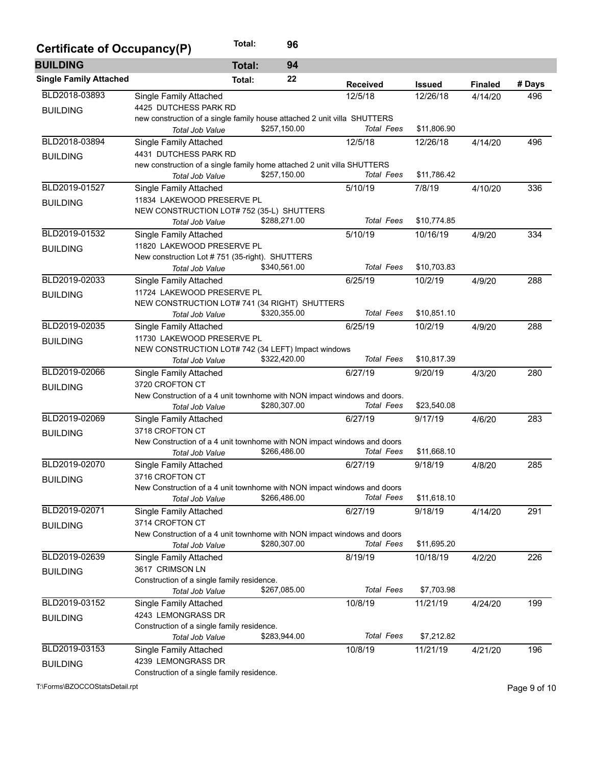| Certificate of Occupancy(P)   |                                                                          | Total:        | 96           |                   |               |                |        |
|-------------------------------|--------------------------------------------------------------------------|---------------|--------------|-------------------|---------------|----------------|--------|
| <b>BUILDING</b>               |                                                                          | <b>Total:</b> | 94           |                   |               |                |        |
| <b>Single Family Attached</b> |                                                                          | Total:        | 22           | <b>Received</b>   | <b>Issued</b> | <b>Finaled</b> | # Days |
| BLD2018-03893                 | Single Family Attached                                                   |               |              | 12/5/18           | 12/26/18      | 4/14/20        | 496    |
| <b>BUILDING</b>               | 4425 DUTCHESS PARK RD                                                    |               |              |                   |               |                |        |
|                               | new construction of a single family house attached 2 unit villa SHUTTERS |               |              |                   |               |                |        |
|                               | Total Job Value                                                          |               | \$257,150.00 | Total Fees        | \$11,806.90   |                |        |
| BLD2018-03894                 | Single Family Attached                                                   |               |              | 12/5/18           | 12/26/18      | 4/14/20        | 496    |
| <b>BUILDING</b>               | 4431 DUTCHESS PARK RD                                                    |               |              |                   |               |                |        |
|                               | new construction of a single family home attached 2 unit villa SHUTTERS  |               | \$257,150.00 | <b>Total Fees</b> | \$11,786.42   |                |        |
|                               | <b>Total Job Value</b>                                                   |               |              |                   |               |                |        |
| BLD2019-01527                 | Single Family Attached                                                   |               |              | 5/10/19           | 7/8/19        | 4/10/20        | 336    |
| <b>BUILDING</b>               | 11834 LAKEWOOD PRESERVE PL<br>NEW CONSTRUCTION LOT# 752 (35-L) SHUTTERS  |               |              |                   |               |                |        |
|                               | Total Job Value                                                          |               | \$288,271.00 | <b>Total Fees</b> | \$10,774.85   |                |        |
| BLD2019-01532                 | Single Family Attached                                                   |               |              | 5/10/19           | 10/16/19      | 4/9/20         | 334    |
|                               | 11820 LAKEWOOD PRESERVE PL                                               |               |              |                   |               |                |        |
| <b>BUILDING</b>               | New construction Lot #751 (35-right). SHUTTERS                           |               |              |                   |               |                |        |
|                               | Total Job Value                                                          |               | \$340,561.00 | <b>Total Fees</b> | \$10,703.83   |                |        |
| BLD2019-02033                 | Single Family Attached                                                   |               |              | 6/25/19           | 10/2/19       | 4/9/20         | 288    |
| <b>BUILDING</b>               | 11724 LAKEWOOD PRESERVE PL                                               |               |              |                   |               |                |        |
|                               | NEW CONSTRUCTION LOT# 741 (34 RIGHT) SHUTTERS                            |               |              |                   |               |                |        |
|                               | Total Job Value                                                          |               | \$320,355.00 | <b>Total Fees</b> | \$10,851.10   |                |        |
| BLD2019-02035                 | Single Family Attached                                                   |               |              | 6/25/19           | 10/2/19       | 4/9/20         | 288    |
| <b>BUILDING</b>               | 11730 LAKEWOOD PRESERVE PL                                               |               |              |                   |               |                |        |
|                               | NEW CONSTRUCTION LOT# 742 (34 LEFT) Impact windows                       |               |              |                   |               |                |        |
|                               | Total Job Value                                                          |               | \$322,420.00 | <b>Total Fees</b> | \$10,817.39   |                |        |
| BLD2019-02066                 | <b>Single Family Attached</b>                                            |               |              | 6/27/19           | 9/20/19       | 4/3/20         | 280    |
| <b>BUILDING</b>               | 3720 CROFTON CT                                                          |               |              |                   |               |                |        |
|                               | New Construction of a 4 unit townhome with NON impact windows and doors. |               | \$280,307.00 | <b>Total Fees</b> | \$23,540.08   |                |        |
| BLD2019-02069                 | Total Job Value                                                          |               |              | 6/27/19           | 9/17/19       | 4/6/20         | 283    |
|                               | Single Family Attached<br>3718 CROFTON CT                                |               |              |                   |               |                |        |
| <b>BUILDING</b>               | New Construction of a 4 unit townhome with NON impact windows and doors  |               |              |                   |               |                |        |
|                               | Total Job Value                                                          |               | \$266,486.00 | <b>Total Fees</b> | \$11,668.10   |                |        |
| BLD2019-02070                 | Single Family Attached                                                   |               |              | 6/27/19           | 9/18/19       | 4/8/20         | 285    |
| <b>BUILDING</b>               | 3716 CROFTON CT                                                          |               |              |                   |               |                |        |
|                               | New Construction of a 4 unit townhome with NON impact windows and doors  |               |              |                   |               |                |        |
|                               | Total Job Value                                                          |               | \$266,486.00 | <b>Total Fees</b> | \$11,618.10   |                |        |
| BLD2019-02071                 | Single Family Attached                                                   |               |              | 6/27/19           | 9/18/19       | 4/14/20        | 291    |
| <b>BUILDING</b>               | 3714 CROFTON CT                                                          |               |              |                   |               |                |        |
|                               | New Construction of a 4 unit townhome with NON impact windows and doors  |               |              |                   |               |                |        |
|                               | Total Job Value                                                          |               | \$280,307.00 | <b>Total Fees</b> | \$11,695.20   |                |        |
| BLD2019-02639                 | Single Family Attached                                                   |               |              | 8/19/19           | 10/18/19      | 4/2/20         | 226    |
| <b>BUILDING</b>               | 3617 CRIMSON LN                                                          |               |              |                   |               |                |        |
|                               | Construction of a single family residence.                               |               | \$267,085.00 | <b>Total Fees</b> | \$7,703.98    |                |        |
| BLD2019-03152                 | Total Job Value                                                          |               |              | 10/8/19           |               |                | 199    |
|                               | Single Family Attached<br>4243 LEMONGRASS DR                             |               |              |                   | 11/21/19      | 4/24/20        |        |
| <b>BUILDING</b>               | Construction of a single family residence.                               |               |              |                   |               |                |        |
|                               | Total Job Value                                                          |               | \$283,944.00 | <b>Total Fees</b> | \$7,212.82    |                |        |
| BLD2019-03153                 | Single Family Attached                                                   |               |              | 10/8/19           | 11/21/19      | 4/21/20        | 196    |
| <b>BUILDING</b>               | 4239 LEMONGRASS DR                                                       |               |              |                   |               |                |        |
|                               | Construction of a single family residence.                               |               |              |                   |               |                |        |

T:\Forms\BZOCCOStatsDetail.rpt Page 9 of 10